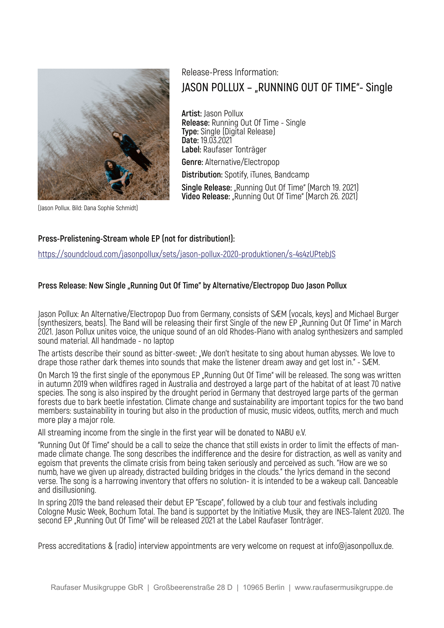

# Release-Press Information: **JASON POLLUX – "RUNNING OUT OF TIME"- Single**

**Artist:** Jason Pollux **Release:** Running Out Of Time - Single **Type:** Single (Digital Release) **Date:** 19.03.2021 **Label:** Raufaser Tonträger **Genre:** Alternative/Electropop **Distribution:** Spotify, iTunes, Bandcamp **Single Release:** "Running Out Of Time" (March 19. 2021) **Video Release:** "Running Out Of Time" (March 26. 2021)

(Jason Pollux. Bild: Dana Sophie Schmidt)

### **Press-Prelistening-Stream whole EP (not for distribution!):**

https://soundcloud.com/jasonpollux/sets/jason-pollux-2020-produktionen/s-4s4zUPtebJS

### Press Release: New Single "Running Out Of Time" by Alternative/Electropop Duo Jason Pollux

Jason Pollux: An Alternative/Electropop Duo from Germany, consists of SÆM (vocals, keys) and Michael Burger (synthesizers, beats). The Band will be releasing their first Single of the new EP "Running Out Of Time" in March 2021. Jason Pollux unites voice, the unique sound of an old Rhodes-Piano with analog synthesizers and sampled sound material. All handmade - no laptop

The artists describe their sound as bitter-sweet: "We don't hesitate to sing about human abysses. We love to drape those rather dark themes into sounds that make the listener dream away and get lost in." - SÆM.

On March 19 the first single of the eponymous EP "Running Out Of Time" will be released. The song was written in autumn 2019 when wildfires raged in Australia and destroyed a large part of the habitat of at least 70 native species. The song is also inspired by the drought period in Germany that destroyed large parts of the german forests due to bark beetle infestation. Climate change and sustainability are important topics for the two band members: sustainability in touring but also in the production of music, music videos, outfits, merch and much more play a major role.

All streaming income from the single in the first year will be donated to NABU e.V.

"Running Out Of Time" should be a call to seize the chance that still exists in order to limit the effects of manmade climate change. The song describes the indifference and the desire for distraction, as well as vanity and egoism that prevents the climate crisis from being taken seriously and perceived as such. "How are we so numb, have we given up already, distracted building bridges in the clouds." the lyrics demand in the second verse. The song is a harrowing inventory that offers no solution- it is intended to be a wakeup call. Danceable and disillusioning.

In spring 2019 the band released their debut EP "Escape", followed by a club tour and festivals including Cologne Music Week, Bochum Total. The band is supportet by the Initiative Musik, they are INES-Talent 2020. The second EP "Running Out Of Time" will be released 2021 at the Label Raufaser Tonträger.

Press accreditations & (radio) interview appointments are very welcome on request at info@jasonpollux.de.